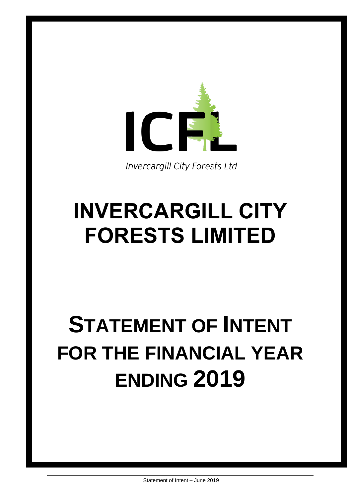

**Invercargill City Forests Ltd** 

## **INVERCARGILL CITY FORESTS LIMITED**

# **STATEMENT OF INTENT FOR THE FINANCIAL YEAR ENDING 2019**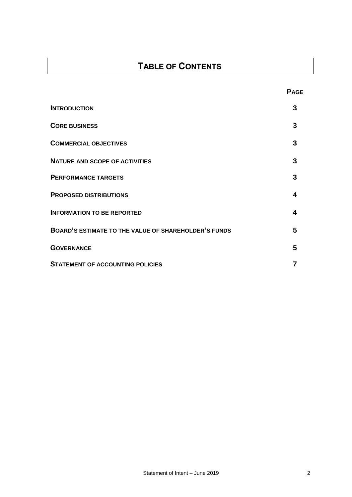## **TABLE OF CONTENTS**

| <b>INTRODUCTION</b>                                         | 3 |
|-------------------------------------------------------------|---|
| <b>CORE BUSINESS</b>                                        | 3 |
| <b>COMMERCIAL OBJECTIVES</b>                                | 3 |
| <b>NATURE AND SCOPE OF ACTIVITIES</b>                       | 3 |
| <b>PERFORMANCE TARGETS</b>                                  | 3 |
| <b>PROPOSED DISTRIBUTIONS</b>                               | 4 |
| <b>INFORMATION TO BE REPORTED</b>                           | 4 |
| <b>BOARD'S ESTIMATE TO THE VALUE OF SHAREHOLDER'S FUNDS</b> | 5 |
| <b>GOVERNANCE</b>                                           | 5 |
| <b>STATEMENT OF ACCOUNTING POLICIES</b>                     |   |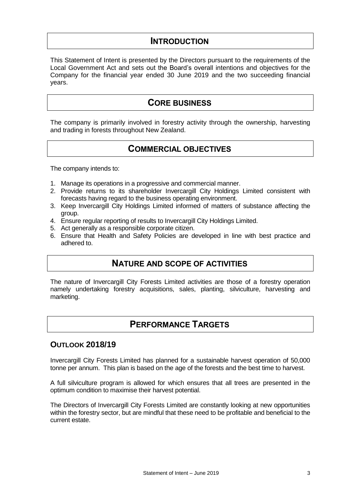## **INTRODUCTION**

This Statement of Intent is presented by the Directors pursuant to the requirements of the Local Government Act and sets out the Board's overall intentions and objectives for the Company for the financial year ended 30 June 2019 and the two succeeding financial years.

## **CORE BUSINESS**

The company is primarily involved in forestry activity through the ownership, harvesting and trading in forests throughout New Zealand.

## **COMMERCIAL OBJECTIVES**

The company intends to:

- 1. Manage its operations in a progressive and commercial manner.
- 2. Provide returns to its shareholder Invercargill City Holdings Limited consistent with forecasts having regard to the business operating environment.
- 3. Keep Invercargill City Holdings Limited informed of matters of substance affecting the group.
- 4. Ensure regular reporting of results to Invercargill City Holdings Limited.
- 5. Act generally as a responsible corporate citizen.
- 6. Ensure that Health and Safety Policies are developed in line with best practice and adhered to.

## **NATURE AND SCOPE OF ACTIVITIES**

The nature of Invercargill City Forests Limited activities are those of a forestry operation namely undertaking forestry acquisitions, sales, planting, silviculture, harvesting and marketing.

## **PERFORMANCE TARGETS**

#### **OUTLOOK 2018/19**

Invercargill City Forests Limited has planned for a sustainable harvest operation of 50,000 tonne per annum. This plan is based on the age of the forests and the best time to harvest.

A full silviculture program is allowed for which ensures that all trees are presented in the optimum condition to maximise their harvest potential.

The Directors of Invercargill City Forests Limited are constantly looking at new opportunities within the forestry sector, but are mindful that these need to be profitable and beneficial to the current estate.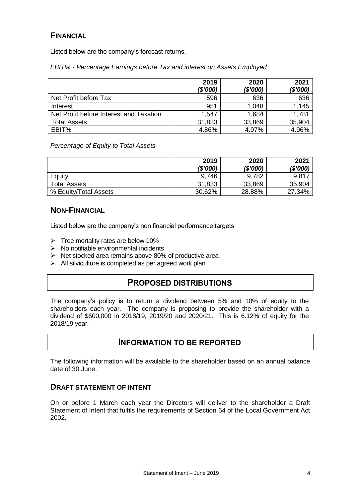#### **FINANCIAL**

Listed below are the company's forecast returns.

*EBIT% - Percentage Earnings before Tax and interest on Assets Employed*

|                                         | 2019<br>(\$'000) | 2020<br>(\$'000) | 2021<br>(\$'000) |
|-----------------------------------------|------------------|------------------|------------------|
| Net Profit before Tax                   | 596              | 636              | 636              |
| Interest                                | 951              | 1,048            | 1,145            |
| Net Profit before Interest and Taxation | 1.547            | 1,684            | 1,781            |
| <b>Total Assets</b>                     | 31,833           | 33,869           | 35,904           |
| EBIT%                                   | 4.86%            | 4.97%            | 4.96%            |

#### *Percentage of Equity to Total Assets*

|                       | 2019<br>(\$'000) | 2020<br>(\$'000) | 2021<br>(\$'000) |
|-----------------------|------------------|------------------|------------------|
| Equity                | 9,746            | 9,782            | 9,817            |
| <b>Total Assets</b>   | 31,833           | 33,869           | 35,904           |
| % Equity/Total Assets | 30.62%           | 28.88%           | 27.34%           |

#### **NON-FINANCIAL**

Listed below are the company's non financial performance targets

- $\triangleright$  Tree mortality rates are below 10%
- $\triangleright$  No notifiable environmental incidents
- $\triangleright$  Net stocked area remains above 80% of productive area
- $\triangleright$  All silviculture is completed as per agreed work plan

## **PROPOSED DISTRIBUTIONS**

The company's policy is to return a dividend between 5% and 10% of equity to the shareholders each year. The company is proposing to provide the shareholder with a dividend of \$600,000 in 2018/19, 2019/20 and 2020/21. This is 6.12% of equity for the 2018/19 year.

## **INFORMATION TO BE REPORTED**

The following information will be available to the shareholder based on an annual balance date of 30 June.

#### **DRAFT STATEMENT OF INTENT**

On or before 1 March each year the Directors will deliver to the shareholder a Draft Statement of Intent that fulfils the requirements of Section 64 of the Local Government Act 2002.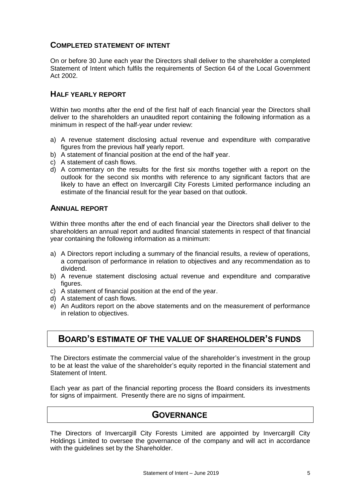#### **COMPLETED STATEMENT OF INTENT**

On or before 30 June each year the Directors shall deliver to the shareholder a completed Statement of Intent which fulfils the requirements of Section 64 of the Local Government Act 2002.

#### **HALF YEARLY REPORT**

Within two months after the end of the first half of each financial year the Directors shall deliver to the shareholders an unaudited report containing the following information as a minimum in respect of the half-year under review:

- a) A revenue statement disclosing actual revenue and expenditure with comparative figures from the previous half yearly report.
- b) A statement of financial position at the end of the half year.
- c) A statement of cash flows.
- d) A commentary on the results for the first six months together with a report on the outlook for the second six months with reference to any significant factors that are likely to have an effect on Invercargill City Forests Limited performance including an estimate of the financial result for the year based on that outlook.

#### **ANNUAL REPORT**

Within three months after the end of each financial year the Directors shall deliver to the shareholders an annual report and audited financial statements in respect of that financial year containing the following information as a minimum:

- a) A Directors report including a summary of the financial results, a review of operations, a comparison of performance in relation to objectives and any recommendation as to dividend.
- b) A revenue statement disclosing actual revenue and expenditure and comparative figures.
- c) A statement of financial position at the end of the year.
- d) A statement of cash flows.
- e) An Auditors report on the above statements and on the measurement of performance in relation to objectives.

## **BOARD'S ESTIMATE OF THE VALUE OF SHAREHOLDER'S FUNDS**

The Directors estimate the commercial value of the shareholder's investment in the group to be at least the value of the shareholder's equity reported in the financial statement and Statement of Intent.

Each year as part of the financial reporting process the Board considers its investments for signs of impairment. Presently there are no signs of impairment.

## **GOVERNANCE**

The Directors of Invercargill City Forests Limited are appointed by Invercargill City Holdings Limited to oversee the governance of the company and will act in accordance with the guidelines set by the Shareholder.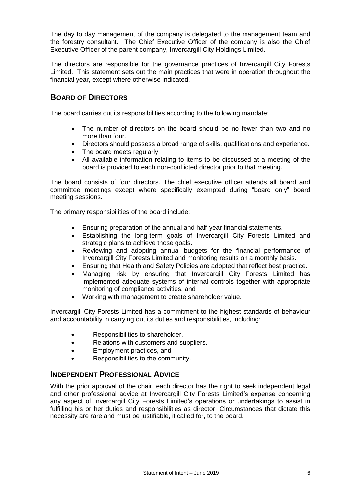The day to day management of the company is delegated to the management team and the forestry consultant. The Chief Executive Officer of the company is also the Chief Executive Officer of the parent company, Invercargill City Holdings Limited.

The directors are responsible for the governance practices of Invercargill City Forests Limited. This statement sets out the main practices that were in operation throughout the financial year, except where otherwise indicated.

#### **BOARD OF DIRECTORS**

The board carries out its responsibilities according to the following mandate:

- The number of directors on the board should be no fewer than two and no more than four.
- Directors should possess a broad range of skills, qualifications and experience.
- The board meets regularly.
- All available information relating to items to be discussed at a meeting of the board is provided to each non-conflicted director prior to that meeting.

The board consists of four directors. The chief executive officer attends all board and committee meetings except where specifically exempted during "board only" board meeting sessions.

The primary responsibilities of the board include:

- Ensuring preparation of the annual and half-year financial statements.
- Establishing the long-term goals of Invercargill City Forests Limited and strategic plans to achieve those goals.
- Reviewing and adopting annual budgets for the financial performance of Invercargill City Forests Limited and monitoring results on a monthly basis.
- Ensuring that Health and Safety Policies are adopted that reflect best practice.
- Managing risk by ensuring that Invercargill City Forests Limited has implemented adequate systems of internal controls together with appropriate monitoring of compliance activities, and
- Working with management to create shareholder value.

Invercargill City Forests Limited has a commitment to the highest standards of behaviour and accountability in carrying out its duties and responsibilities, including:

- Responsibilities to shareholder.
- Relations with customers and suppliers.
- **Employment practices, and**
- Responsibilities to the community.

#### **INDEPENDENT PROFESSIONAL ADVICE**

With the prior approval of the chair, each director has the right to seek independent legal and other professional advice at Invercargill City Forests Limited's expense concerning any aspect of Invercargill City Forests Limited's operations or undertakings to assist in fulfilling his or her duties and responsibilities as director. Circumstances that dictate this necessity are rare and must be justifiable, if called for, to the board.